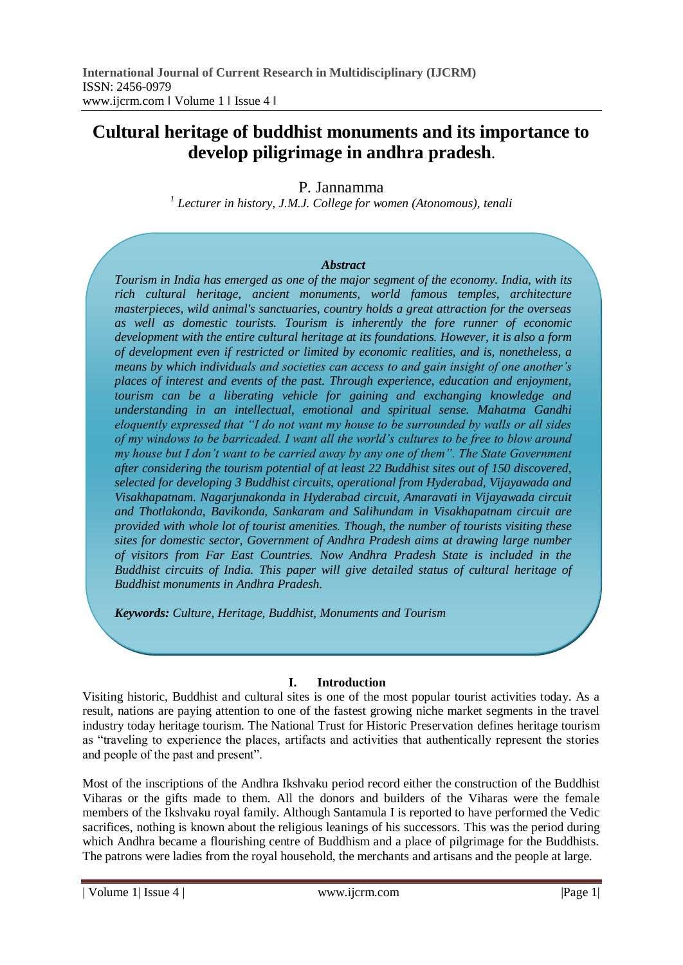# **Cultural heritage of buddhist monuments and its importance to develop piligrimage in andhra pradesh.**

P. Jannamma

*1 Lecturer in history, J.M.J. College for women (Atonomous), tenali*

#### *Abstract*

*Tourism in India has emerged as one of the major segment of the economy. India, with its rich cultural heritage, ancient monuments, world famous temples, architecture masterpieces, wild animal's sanctuaries, country holds a great attraction for the overseas as well as domestic tourists. Tourism is inherently the fore runner of economic development with the entire cultural heritage at its foundations. However, it is also a form of development even if restricted or limited by economic realities, and is, nonetheless, a means by which individuals and societies can access to and gain insight of one another's places of interest and events of the past. Through experience, education and enjoyment, tourism can be a liberating vehicle for gaining and exchanging knowledge and understanding in an intellectual, emotional and spiritual sense. Mahatma Gandhi eloquently expressed that "I do not want my house to be surrounded by walls or all sides of my windows to be barricaded. I want all the world's cultures to be free to blow around my house but I don't want to be carried away by any one of them". The State Government after considering the tourism potential of at least 22 Buddhist sites out of 150 discovered, selected for developing 3 Buddhist circuits, operational from Hyderabad, Vijayawada and Visakhapatnam. Nagarjunakonda in Hyderabad circuit, Amaravati in Vijayawada circuit and Thotlakonda, Bavikonda, Sankaram and Salihundam in Visakhapatnam circuit are provided with whole lot of tourist amenities. Though, the number of tourists visiting these sites for domestic sector, Government of Andhra Pradesh aims at drawing large number of visitors from Far East Countries. Now Andhra Pradesh State is included in the Buddhist circuits of India. This paper will give detailed status of cultural heritage of Buddhist monuments in Andhra Pradesh.*

*Keywords: Culture, Heritage, Buddhist, Monuments and Tourism*

### **I. Introduction**

Visiting historic, Buddhist and cultural sites is one of the most popular tourist activities today. As a result, nations are paying attention to one of the fastest growing niche market segments in the travel industry today heritage tourism. The National Trust for Historic Preservation defines heritage tourism as "traveling to experience the places, artifacts and activities that authentically represent the stories and people of the past and present".

Most of the inscriptions of the Andhra Ikshvaku period record either the construction of the Buddhist Viharas or the gifts made to them. All the donors and builders of the Viharas were the female members of the Ikshvaku royal family. Although Santamula I is reported to have performed the Vedic sacrifices, nothing is known about the religious leanings of his successors. This was the period during which Andhra became a flourishing centre of Buddhism and a place of pilgrimage for the Buddhists. The patrons were ladies from the royal household, the merchants and artisans and the people at large.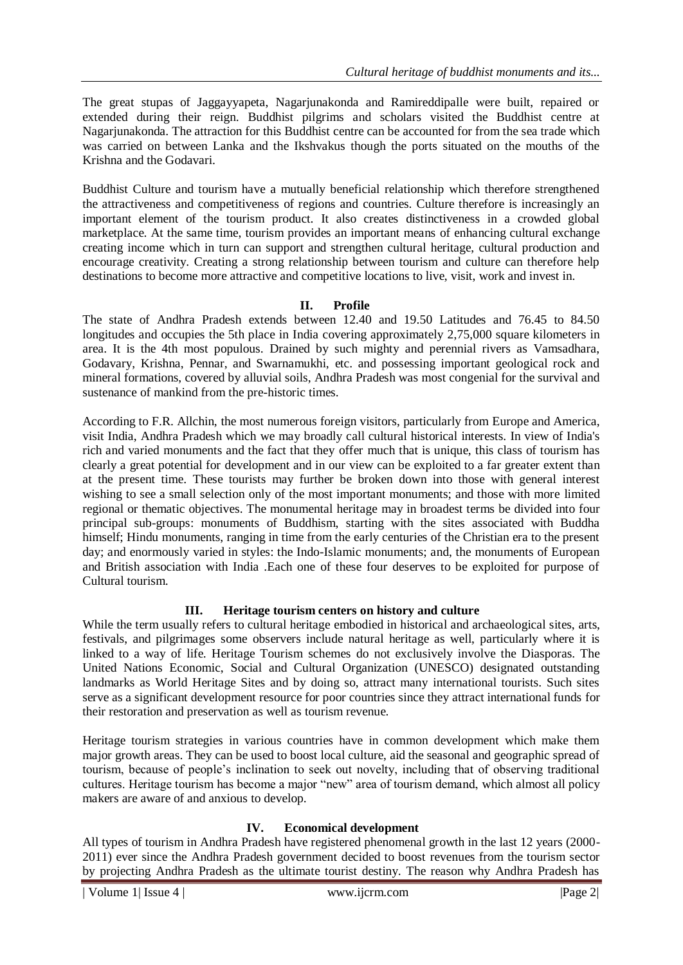The great stupas of Jaggayyapeta, Nagarjunakonda and Ramireddipalle were built, repaired or extended during their reign. Buddhist pilgrims and scholars visited the Buddhist centre at Nagarjunakonda. The attraction for this Buddhist centre can be accounted for from the sea trade which was carried on between Lanka and the Ikshvakus though the ports situated on the mouths of the Krishna and the Godavari.

Buddhist Culture and tourism have a mutually beneficial relationship which therefore strengthened the attractiveness and competitiveness of regions and countries. Culture therefore is increasingly an important element of the tourism product. It also creates distinctiveness in a crowded global marketplace. At the same time, tourism provides an important means of enhancing cultural exchange creating income which in turn can support and strengthen cultural heritage, cultural production and encourage creativity. Creating a strong relationship between tourism and culture can therefore help destinations to become more attractive and competitive locations to live, visit, work and invest in.

## **II. Profile**

The state of Andhra Pradesh extends between 12.40 and 19.50 Latitudes and 76.45 to 84.50 longitudes and occupies the 5th place in India covering approximately 2,75,000 square kilometers in area. It is the 4th most populous. Drained by such mighty and perennial rivers as Vamsadhara, Godavary, Krishna, Pennar, and Swarnamukhi, etc. and possessing important geological rock and mineral formations, covered by alluvial soils, Andhra Pradesh was most congenial for the survival and sustenance of mankind from the pre-historic times.

According to F.R. Allchin, the most numerous foreign visitors, particularly from Europe and America, visit India, Andhra Pradesh which we may broadly call cultural historical interests. In view of India's rich and varied monuments and the fact that they offer much that is unique, this class of tourism has clearly a great potential for development and in our view can be exploited to a far greater extent than at the present time. These tourists may further be broken down into those with general interest wishing to see a small selection only of the most important monuments; and those with more limited regional or thematic objectives. The monumental heritage may in broadest terms be divided into four principal sub-groups: monuments of Buddhism, starting with the sites associated with Buddha himself; Hindu monuments, ranging in time from the early centuries of the Christian era to the present day; and enormously varied in styles: the Indo-Islamic monuments; and, the monuments of European and British association with India .Each one of these four deserves to be exploited for purpose of Cultural tourism.

## **III. Heritage tourism centers on history and culture**

While the term usually refers to cultural heritage embodied in historical and archaeological sites, arts, festivals, and pilgrimages some observers include natural heritage as well, particularly where it is linked to a way of life. Heritage Tourism schemes do not exclusively involve the Diasporas. The United Nations Economic, Social and Cultural Organization (UNESCO) designated outstanding landmarks as World Heritage Sites and by doing so, attract many international tourists. Such sites serve as a significant development resource for poor countries since they attract international funds for their restoration and preservation as well as tourism revenue.

Heritage tourism strategies in various countries have in common development which make them major growth areas. They can be used to boost local culture, aid the seasonal and geographic spread of tourism, because of people's inclination to seek out novelty, including that of observing traditional cultures. Heritage tourism has become a major "new" area of tourism demand, which almost all policy makers are aware of and anxious to develop.

## **IV. Economical development**

All types of tourism in Andhra Pradesh have registered phenomenal growth in the last 12 years (2000- 2011) ever since the Andhra Pradesh government decided to boost revenues from the tourism sector by projecting Andhra Pradesh as the ultimate tourist destiny. The reason why Andhra Pradesh has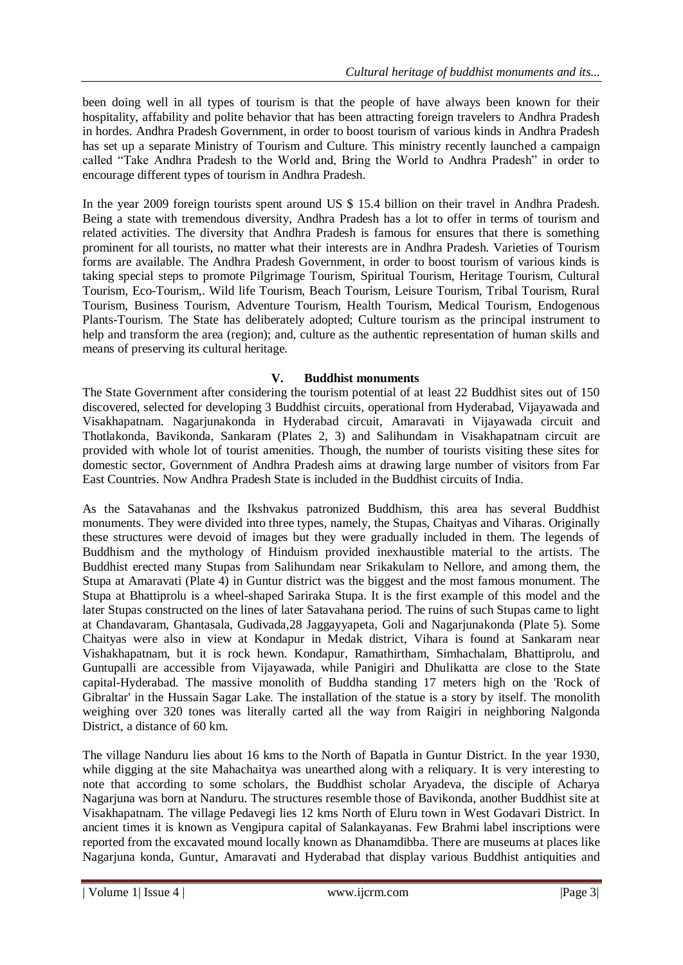been doing well in all types of tourism is that the people of have always been known for their hospitality, affability and polite behavior that has been attracting foreign travelers to Andhra Pradesh in hordes. Andhra Pradesh Government, in order to boost tourism of various kinds in Andhra Pradesh has set up a separate Ministry of Tourism and Culture. This ministry recently launched a campaign called "Take Andhra Pradesh to the World and, Bring the World to Andhra Pradesh" in order to encourage different types of tourism in Andhra Pradesh.

In the year 2009 foreign tourists spent around US \$ 15.4 billion on their travel in Andhra Pradesh. Being a state with tremendous diversity, Andhra Pradesh has a lot to offer in terms of tourism and related activities. The diversity that Andhra Pradesh is famous for ensures that there is something prominent for all tourists, no matter what their interests are in Andhra Pradesh. Varieties of Tourism forms are available. The Andhra Pradesh Government, in order to boost tourism of various kinds is taking special steps to promote Pilgrimage Tourism, Spiritual Tourism, Heritage Tourism, Cultural Tourism, Eco-Tourism,. Wild life Tourism, Beach Tourism, Leisure Tourism, Tribal Tourism, Rural Tourism, Business Tourism, Adventure Tourism, Health Tourism, Medical Tourism, Endogenous Plants-Tourism. The State has deliberately adopted; Culture tourism as the principal instrument to help and transform the area (region); and, culture as the authentic representation of human skills and means of preserving its cultural heritage.

## **V. Buddhist monuments**

The State Government after considering the tourism potential of at least 22 Buddhist sites out of 150 discovered, selected for developing 3 Buddhist circuits, operational from Hyderabad, Vijayawada and Visakhapatnam. Nagarjunakonda in Hyderabad circuit, Amaravati in Vijayawada circuit and Thotlakonda, Bavikonda, Sankaram (Plates 2, 3) and Salihundam in Visakhapatnam circuit are provided with whole lot of tourist amenities. Though, the number of tourists visiting these sites for domestic sector, Government of Andhra Pradesh aims at drawing large number of visitors from Far East Countries. Now Andhra Pradesh State is included in the Buddhist circuits of India.

As the Satavahanas and the Ikshvakus patronized Buddhism, this area has several Buddhist monuments. They were divided into three types, namely, the Stupas, Chaityas and Viharas. Originally these structures were devoid of images but they were gradually included in them. The legends of Buddhism and the mythology of Hinduism provided inexhaustible material to the artists. The Buddhist erected many Stupas from Salihundam near Srikakulam to Nellore, and among them, the Stupa at Amaravati (Plate 4) in Guntur district was the biggest and the most famous monument. The Stupa at Bhattiprolu is a wheel-shaped Sariraka Stupa. It is the first example of this model and the later Stupas constructed on the lines of later Satavahana period. The ruins of such Stupas came to light at Chandavaram, Ghantasala, Gudivada,28 Jaggayyapeta, Goli and Nagarjunakonda (Plate 5). Some Chaityas were also in view at Kondapur in Medak district, Vihara is found at Sankaram near Vishakhapatnam, but it is rock hewn. Kondapur, Ramathirtham, Simhachalam, Bhattiprolu, and Guntupalli are accessible from Vijayawada, while Panigiri and Dhulikatta are close to the State capital-Hyderabad. The massive monolith of Buddha standing 17 meters high on the 'Rock of Gibraltar' in the Hussain Sagar Lake. The installation of the statue is a story by itself. The monolith weighing over 320 tones was literally carted all the way from Raigiri in neighboring Nalgonda District, a distance of 60 km.

The village Nanduru lies about 16 kms to the North of Bapatla in Guntur District. In the year 1930, while digging at the site Mahachaitya was unearthed along with a reliquary. It is very interesting to note that according to some scholars, the Buddhist scholar Aryadeva, the disciple of Acharya Nagarjuna was born at Nanduru. The structures resemble those of Bavikonda, another Buddhist site at Visakhapatnam. The village Pedavegi lies 12 kms North of Eluru town in West Godavari District. In ancient times it is known as Vengipura capital of Salankayanas. Few Brahmi label inscriptions were reported from the excavated mound locally known as Dhanamdibba. There are museums at places like Nagarjuna konda, Guntur, Amaravati and Hyderabad that display various Buddhist antiquities and